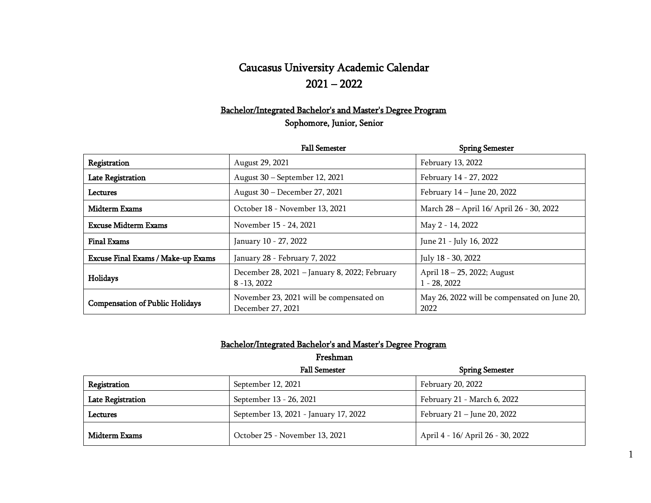## Caucasus University Academic Calendar 2021 – 2022

## Bachelor/Integrated Bachelor's and Master's Degree Program Sophomore, Junior, Senior

|                                           | <b>Fall Semester</b>                                            | <b>Spring Semester</b>                               |
|-------------------------------------------|-----------------------------------------------------------------|------------------------------------------------------|
| Registration                              | August 29, 2021                                                 | February 13, 2022                                    |
| <b>Late Registration</b>                  | August 30 – September 12, 2021                                  | February 14 - 27, 2022                               |
| Lectures                                  | August 30 – December 27, 2021                                   | February 14 – June 20, 2022                          |
| Midterm Exams                             | October 18 - November 13, 2021                                  | March 28 - April 16/ April 26 - 30, 2022             |
| <b>Excuse Midterm Exams</b>               | November 15 - 24, 2021                                          | May 2 - 14, 2022                                     |
| <b>Final Exams</b>                        | January 10 - 27, 2022                                           | June 21 - July 16, 2022                              |
| <b>Excuse Final Exams / Make-up Exams</b> | January 28 - February 7, 2022                                   | July 18 - 30, 2022                                   |
| Holidays                                  | December 28, 2021 - January 8, 2022; February<br>$8 - 13, 2022$ | April 18 – 25, 2022; August<br>$1 - 28, 2022$        |
| <b>Compensation of Public Holidays</b>    | November 23, 2021 will be compensated on<br>December 27, 2021   | May 26, 2022 will be compensated on June 20,<br>2022 |

#### Bachelor/Integrated Bachelor's and Master's Degree Program

Freshman

|                   | <b>Fall Semester</b>                  | <b>Spring Semester</b>            |
|-------------------|---------------------------------------|-----------------------------------|
| Registration      | September 12, 2021                    | February 20, 2022                 |
| Late Registration | September 13 - 26, 2021               | February 21 - March 6, 2022       |
| Lectures          | September 13, 2021 - January 17, 2022 | February 21 – June 20, 2022       |
| Midterm Exams     | October 25 - November 13, 2021        | April 4 - 16/ April 26 - 30, 2022 |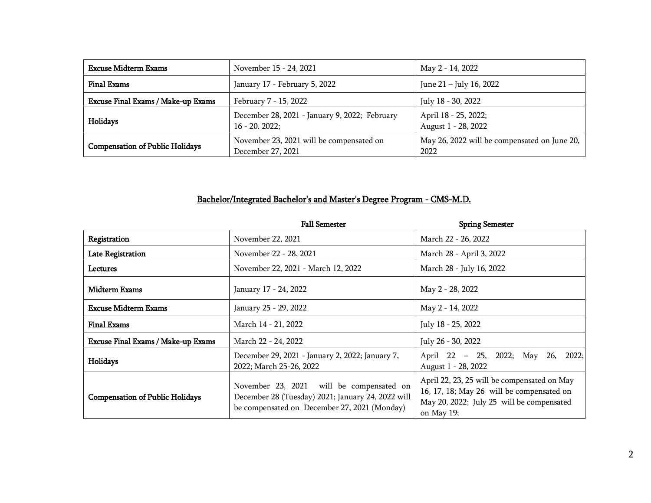| <b>Excuse Midterm Exams</b>            | November 15 - 24, 2021                                            | May 2 - 14, 2022                                     |
|----------------------------------------|-------------------------------------------------------------------|------------------------------------------------------|
| Final Exams                            | January 17 - February 5, 2022                                     | June 21 – July 16, 2022                              |
| Excuse Final Exams / Make-up Exams     | February 7 - 15, 2022                                             | July 18 - 30, 2022                                   |
| Holidays                               | December 28, 2021 - January 9, 2022; February<br>$16 - 20.2022$ ; | April 18 - 25, 2022;<br>August 1 - 28, 2022          |
| <b>Compensation of Public Holidays</b> | November 23, 2021 will be compensated on<br>December 27, 2021     | May 26, 2022 will be compensated on June 20,<br>2022 |

## Bachelor/Integrated Bachelor's and Master's Degree Program - CMS-M.D.

|                                           | <b>Fall Semester</b>                                                                                                                          | <b>Spring Semester</b>                                                                                                                              |
|-------------------------------------------|-----------------------------------------------------------------------------------------------------------------------------------------------|-----------------------------------------------------------------------------------------------------------------------------------------------------|
| Registration                              | November 22, 2021                                                                                                                             | March 22 - 26, 2022                                                                                                                                 |
| Late Registration                         | November 22 - 28, 2021                                                                                                                        | March 28 - April 3, 2022                                                                                                                            |
| Lectures                                  | November 22, 2021 - March 12, 2022                                                                                                            | March 28 - July 16, 2022                                                                                                                            |
| Midterm Exams                             | January 17 - 24, 2022                                                                                                                         | May 2 - 28, 2022                                                                                                                                    |
| <b>Excuse Midterm Exams</b>               | January 25 - 29, 2022                                                                                                                         | May 2 - 14, 2022                                                                                                                                    |
| <b>Final Exams</b>                        | March 14 - 21, 2022                                                                                                                           | July 18 - 25, 2022                                                                                                                                  |
| <b>Excuse Final Exams / Make-up Exams</b> | March 22 - 24, 2022                                                                                                                           | July 26 - 30, 2022                                                                                                                                  |
| Holidays                                  | December 29, 2021 - January 2, 2022; January 7,<br>2022; March 25-26, 2022                                                                    | 2022;<br>April 22 - 25, 2022; May 26,<br>August 1 - 28, 2022                                                                                        |
| <b>Compensation of Public Holidays</b>    | November 23, 2021 will be compensated on<br>December 28 (Tuesday) 2021; January 24, 2022 will<br>be compensated on December 27, 2021 (Monday) | April 22, 23, 25 will be compensated on May<br>16, 17, 18; May 26 will be compensated on<br>May 20, 2022; July 25 will be compensated<br>on May 19; |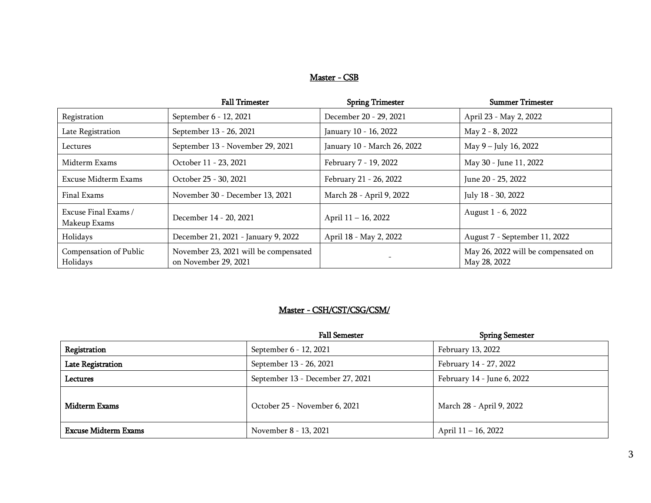#### Master - CSB

|                                      | <b>Fall Trimester</b>                                         | <b>Spring Trimester</b>     | <b>Summer Trimester</b>                             |
|--------------------------------------|---------------------------------------------------------------|-----------------------------|-----------------------------------------------------|
| Registration                         | September 6 - 12, 2021                                        | December 20 - 29, 2021      | April 23 - May 2, 2022                              |
| Late Registration                    | September 13 - 26, 2021                                       | January 10 - 16, 2022       | May 2 - 8, 2022                                     |
| Lectures                             | September 13 - November 29, 2021                              | January 10 - March 26, 2022 | May 9 - July 16, 2022                               |
| Midterm Exams                        | October 11 - 23, 2021                                         | February 7 - 19, 2022       | May 30 - June 11, 2022                              |
| Excuse Midterm Exams                 | October 25 - 30, 2021                                         | February 21 - 26, 2022      | June 20 - 25, 2022                                  |
| Final Exams                          | November 30 - December 13, 2021                               | March 28 - April 9, 2022    | July 18 - 30, 2022                                  |
| Excuse Final Exams /<br>Makeup Exams | December 14 - 20, 2021                                        | April 11 - 16, 2022         | August 1 - 6, 2022                                  |
| Holidays                             | December 21, 2021 - January 9, 2022                           | April 18 - May 2, 2022      | August 7 - September 11, 2022                       |
| Compensation of Public<br>Holidays   | November 23, 2021 will be compensated<br>on November 29, 2021 |                             | May 26, 2022 will be compensated on<br>May 28, 2022 |

#### Master - CSH/CST/CSG/CSM/

|                             | <b>Fall Semester</b>             | <b>Spring Semester</b>     |
|-----------------------------|----------------------------------|----------------------------|
| Registration                | September 6 - 12, 2021           | February 13, 2022          |
| <b>Late Registration</b>    | September 13 - 26, 2021          | February 14 - 27, 2022     |
| Lectures                    | September 13 - December 27, 2021 | February 14 - June 6, 2022 |
| <b>Midterm Exams</b>        | October 25 - November 6, 2021    | March 28 - April 9, 2022   |
| <b>Excuse Midterm Exams</b> | November 8 - 13, 2021            | April 11 – 16, 2022        |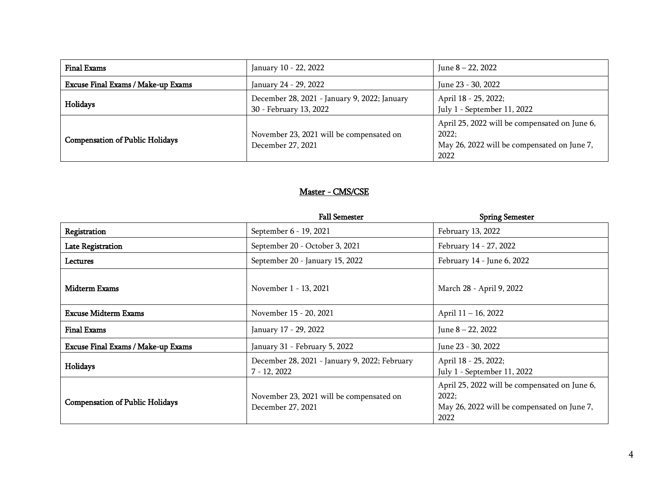| <b>Final Exams</b>                     | January 10 - 22, 2022                                                  | June 8 – 22, 2022                                                                                             |
|----------------------------------------|------------------------------------------------------------------------|---------------------------------------------------------------------------------------------------------------|
| Excuse Final Exams / Make-up Exams     | January 24 - 29, 2022                                                  | June 23 - 30, 2022                                                                                            |
| Holidays                               | December 28, 2021 - January 9, 2022; January<br>30 - February 13, 2022 | April 18 - 25, 2022;<br>July 1 - September 11, 2022                                                           |
| <b>Compensation of Public Holidays</b> | November 23, 2021 will be compensated on<br>December 27, 2021          | April 25, 2022 will be compensated on June 6,<br>2022;<br>May 26, 2022 will be compensated on June 7,<br>2022 |

## Master - CMS/CSE

|                                           | <b>Fall Semester</b>                                            | <b>Spring Semester</b>                                                                                        |
|-------------------------------------------|-----------------------------------------------------------------|---------------------------------------------------------------------------------------------------------------|
| Registration                              | September 6 - 19, 2021                                          | February 13, 2022                                                                                             |
| <b>Late Registration</b>                  | September 20 - October 3, 2021                                  | February 14 - 27, 2022                                                                                        |
| Lectures                                  | September 20 - January 15, 2022                                 | February 14 - June 6, 2022                                                                                    |
| <b>Midterm Exams</b>                      | November 1 - 13, 2021                                           | March 28 - April 9, 2022                                                                                      |
| <b>Excuse Midterm Exams</b>               | November 15 - 20, 2021                                          | April 11 – 16, 2022                                                                                           |
| <b>Final Exams</b>                        | January 17 - 29, 2022                                           | June $8 - 22$ , 2022                                                                                          |
| <b>Excuse Final Exams / Make-up Exams</b> | January 31 - February 5, 2022                                   | June 23 - 30, 2022                                                                                            |
| Holidays                                  | December 28, 2021 - January 9, 2022; February<br>$7 - 12, 2022$ | April 18 - 25, 2022;<br>July 1 - September 11, 2022                                                           |
| <b>Compensation of Public Holidays</b>    | November 23, 2021 will be compensated on<br>December 27, 2021   | April 25, 2022 will be compensated on June 6,<br>2022;<br>May 26, 2022 will be compensated on June 7,<br>2022 |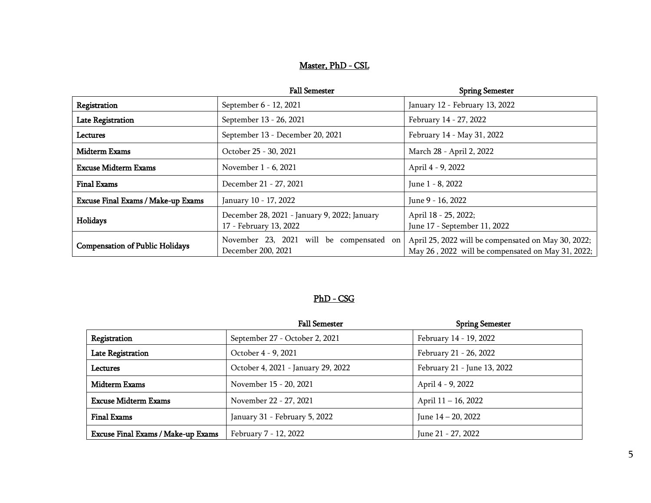### Master, PhD - CSL

|                                           | <b>Fall Semester</b>                                                   | <b>Spring Semester</b>                                                                                   |
|-------------------------------------------|------------------------------------------------------------------------|----------------------------------------------------------------------------------------------------------|
| Registration                              | September 6 - 12, 2021                                                 | January 12 - February 13, 2022                                                                           |
| <b>Late Registration</b>                  | September 13 - 26, 2021                                                | February 14 - 27, 2022                                                                                   |
| Lectures                                  | September 13 - December 20, 2021                                       | February 14 - May 31, 2022                                                                               |
| <b>Midterm Exams</b>                      | October 25 - 30, 2021                                                  | March 28 - April 2, 2022                                                                                 |
| <b>Excuse Midterm Exams</b>               | November 1 - 6, 2021                                                   | April 4 - 9, 2022                                                                                        |
| <b>Final Exams</b>                        | December 21 - 27, 2021                                                 | June 1 - 8, 2022                                                                                         |
| <b>Excuse Final Exams / Make-up Exams</b> | January 10 - 17, 2022                                                  | June 9 - 16, 2022                                                                                        |
| Holidays                                  | December 28, 2021 - January 9, 2022; January<br>17 - February 13, 2022 | April 18 - 25, 2022;<br>June 17 - September 11, 2022                                                     |
| <b>Compensation of Public Holidays</b>    | November 23, 2021 will be compensated on<br>December 200, 2021         | April 25, 2022 will be compensated on May 30, 2022;<br>May 26, 2022 will be compensated on May 31, 2022; |

### PhD - CSG

|                                    | <b>Fall Semester</b>               | <b>Spring Semester</b>      |
|------------------------------------|------------------------------------|-----------------------------|
| Registration                       | September 27 - October 2, 2021     | February 14 - 19, 2022      |
| <b>Late Registration</b>           | October 4 - 9, 2021                | February 21 - 26, 2022      |
| Lectures                           | October 4, 2021 - January 29, 2022 | February 21 - June 13, 2022 |
| Midterm Exams                      | November 15 - 20, 2021             | April 4 - 9, 2022           |
| <b>Excuse Midterm Exams</b>        | November 22 - 27, 2021             | April 11 – 16, 2022         |
| <b>Final Exams</b>                 | January 31 - February 5, 2022      | June 14 - 20, 2022          |
| Excuse Final Exams / Make-up Exams | February 7 - 12, 2022              | June 21 - 27, 2022          |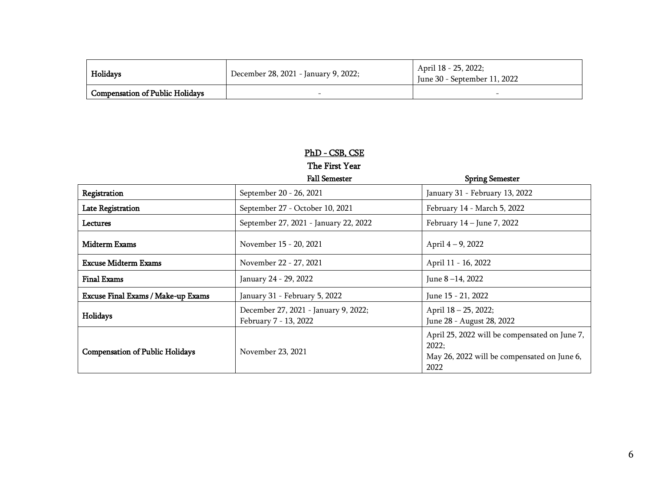| Holidays                               | December 28, 2021 - January 9, 2022; | April 18 - 25, 2022;<br>June 30 - September 11, 2022 |
|----------------------------------------|--------------------------------------|------------------------------------------------------|
| <b>Compensation of Public Holidays</b> |                                      | -                                                    |

### PhD - CSB, CSE

The First Year

|                                           | <b>Fall Semester</b>                                          | <b>Spring Semester</b>                                                                                        |
|-------------------------------------------|---------------------------------------------------------------|---------------------------------------------------------------------------------------------------------------|
| Registration                              | September 20 - 26, 2021                                       | January 31 - February 13, 2022                                                                                |
| <b>Late Registration</b>                  | September 27 - October 10, 2021                               | February 14 - March 5, 2022                                                                                   |
| Lectures                                  | September 27, 2021 - January 22, 2022                         | February 14 - June 7, 2022                                                                                    |
| Midterm Exams                             | November 15 - 20, 2021                                        | April 4 – 9, 2022                                                                                             |
| <b>Excuse Midterm Exams</b>               | November 22 - 27, 2021                                        | April 11 - 16, 2022                                                                                           |
| <b>Final Exams</b>                        | January 24 - 29, 2022                                         | June 8 – 14, 2022                                                                                             |
| <b>Excuse Final Exams / Make-up Exams</b> | January 31 - February 5, 2022                                 | June 15 - 21, 2022                                                                                            |
| Holidays                                  | December 27, 2021 - January 9, 2022;<br>February 7 - 13, 2022 | April 18 – 25, 2022;<br>June 28 - August 28, 2022                                                             |
| <b>Compensation of Public Holidays</b>    | November 23, 2021                                             | April 25, 2022 will be compensated on June 7,<br>2022;<br>May 26, 2022 will be compensated on June 6,<br>2022 |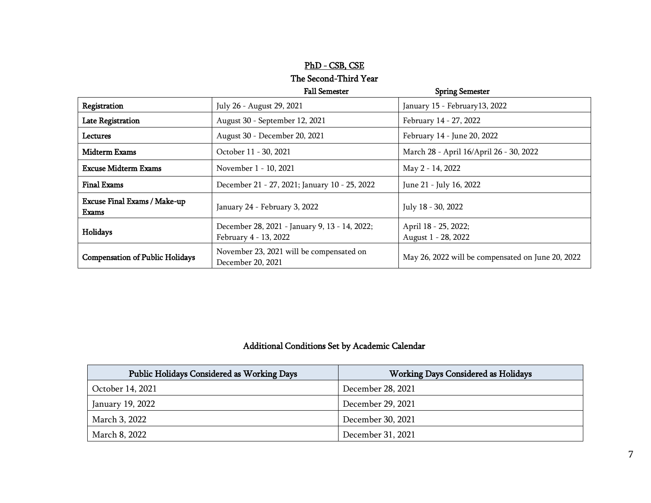# PhD - CSB, CSE The Second-Third Year

|                                              | <b>Fall Semester</b>                                                   | <b>Spring Semester</b>                            |
|----------------------------------------------|------------------------------------------------------------------------|---------------------------------------------------|
| Registration                                 | July 26 - August 29, 2021                                              | January 15 - February 13, 2022                    |
| <b>Late Registration</b>                     | August 30 - September 12, 2021                                         | February 14 - 27, 2022                            |
| Lectures                                     | August 30 - December 20, 2021                                          | February 14 - June 20, 2022                       |
| <b>Midterm Exams</b>                         | October 11 - 30, 2021                                                  | March 28 - April 16/April 26 - 30, 2022           |
| <b>Excuse Midterm Exams</b>                  | November 1 - 10, 2021                                                  | May 2 - 14, 2022                                  |
| <b>Final Exams</b>                           | December 21 - 27, 2021; January 10 - 25, 2022                          | June 21 - July 16, 2022                           |
| <b>Excuse Final Exams / Make-up</b><br>Exams | January 24 - February 3, 2022                                          | July 18 - 30, 2022                                |
| Holidays                                     | December 28, 2021 - January 9, 13 - 14, 2022;<br>February 4 - 13, 2022 | April 18 - 25, 2022;<br>August 1 - 28, 2022       |
| <b>Compensation of Public Holidays</b>       | November 23, 2021 will be compensated on<br>December 20, 2021          | May 26, 2022 will be compensated on June 20, 2022 |

## Additional Conditions Set by Academic Calendar

| Public Holidays Considered as Working Days | <b>Working Days Considered as Holidays</b> |
|--------------------------------------------|--------------------------------------------|
| October 14, 2021                           | December 28, 2021                          |
| January 19, 2022                           | December 29, 2021                          |
| March 3, 2022                              | December 30, 2021                          |
| March 8, 2022                              | December 31, 2021                          |